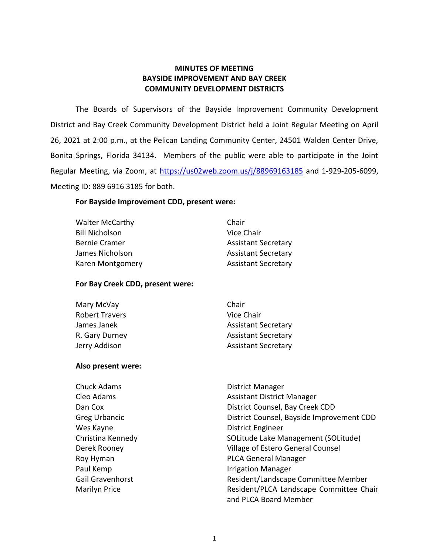## **MINUTES OF MEETING BAYSIDE IMPROVEMENT AND BAY CREEK COMMUNITY DEVELOPMENT DISTRICTS**

 The Boards of Supervisors of the Bayside Improvement Community Development District and Bay Creek Community Development District held a Joint Regular Meeting on April 26, 2021 at 2:00 p.m., at the Pelican Landing Community Center, 24501 Walden Center Drive, Bonita Springs, Florida 34134. Members of the public were able to participate in the Joint Regular Meeting, via Zoom, at<https://us02web.zoom.us/j/88969163185>and 1-929-205-6099, Meeting ID: 889 6916 3185 for both.

## **For Bayside Improvement CDD, present were:**

Walter McCarthy **Chair** Chair Bill Nicholson Vice Chair Bernie Cramer **Assistant Secretary** James Nicholson **Assistant Secretary** Karen Montgomery **Assistant Secretary** 

## **For Bay Creek CDD, present were:**

| Mary McVay            | Chair                      |
|-----------------------|----------------------------|
| <b>Robert Travers</b> | Vice Chair                 |
| James Janek           | <b>Assistant Secretary</b> |
| R. Gary Durney        | <b>Assistant Secretary</b> |
| Jerry Addison         | <b>Assistant Secretary</b> |

## **Also present were:**

| <b>District Manager</b>                   |
|-------------------------------------------|
| <b>Assistant District Manager</b>         |
| District Counsel, Bay Creek CDD           |
| District Counsel, Bayside Improvement CDD |
| <b>District Engineer</b>                  |
| SOLitude Lake Management (SOLitude)       |
| Village of Estero General Counsel         |
| <b>PLCA General Manager</b>               |
| <b>Irrigation Manager</b>                 |
| Resident/Landscape Committee Member       |
| Resident/PLCA Landscape Committee Chair   |
| and PLCA Board Member                     |
|                                           |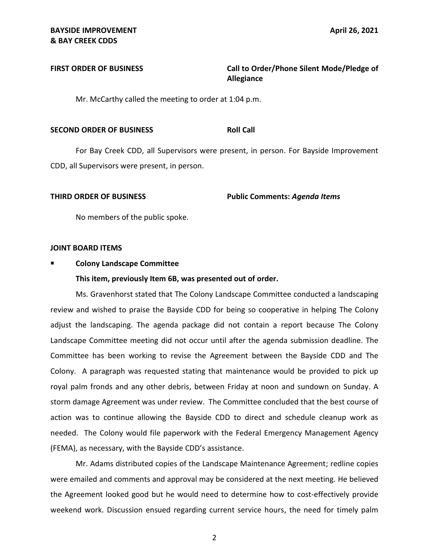FIRST ORDER OF BUSINESS **The State of State Call to Order/Phone Silent Mode/Pledge of Allegiance** 

Mr. McCarthy called the meeting to order at 1:04 p.m.

### **SECOND ORDER OF BUSINESS ROLL CALL ROLL CALL**

For Bay Creek CDD, all Supervisors were present, in person. For Bayside Improvement CDD, all Supervisors were present, in person.

 **THIRD ORDER OF BUSINESS Public Comments:** *Agenda Items* 

No members of the public spoke.

### **JOINT BOARD ITEMS**

## **Colony Landscape Committee**

### **This item, previously Item 6B, was presented out of order.**

 Ms. Gravenhorst stated that The Colony Landscape Committee conducted a landscaping review and wished to praise the Bayside CDD for being so cooperative in helping The Colony adjust the landscaping. The agenda package did not contain a report because The Colony Landscape Committee meeting did not occur until after the agenda submission deadline. The Committee has been working to revise the Agreement between the Bayside CDD and The Colony. A paragraph was requested stating that maintenance would be provided to pick up royal palm fronds and any other debris, between Friday at noon and sundown on Sunday. A storm damage Agreement was under review. The Committee concluded that the best course of action was to continue allowing the Bayside CDD to direct and schedule cleanup work as needed. The Colony would file paperwork with the Federal Emergency Management Agency (FEMA), as necessary, with the Bayside CDD's assistance.

 Mr. Adams distributed copies of the Landscape Maintenance Agreement; redline copies were emailed and comments and approval may be considered at the next meeting. He believed the Agreement looked good but he would need to determine how to cost-effectively provide weekend work. Discussion ensued regarding current service hours, the need for timely palm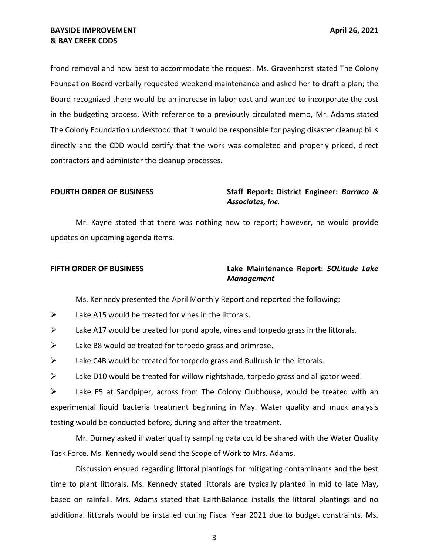frond removal and how best to accommodate the request. Ms. Gravenhorst stated The Colony Foundation Board verbally requested weekend maintenance and asked her to draft a plan; the Board recognized there would be an increase in labor cost and wanted to incorporate the cost in the budgeting process. With reference to a previously circulated memo, Mr. Adams stated The Colony Foundation understood that it would be responsible for paying disaster cleanup bills directly and the CDD would certify that the work was completed and properly priced, direct contractors and administer the cleanup processes.

## **FOURTH ORDER OF BUSINESS** Staff Report: District Engineer: *Barraco & Associates, Inc.*

 Mr. Kayne stated that there was nothing new to report; however, he would provide updates on upcoming agenda items.

## **FIFTH ORDER OF BUSINESS Lake Maintenance Report:** *SOLitude Lake Management*

Ms. Kennedy presented the April Monthly Report and reported the following:

- $\triangleright$  Lake A15 would be treated for vines in the littorals.
- $\triangleright$  Lake A17 would be treated for pond apple, vines and torpedo grass in the littorals.
- $\triangleright$  Lake B8 would be treated for torpedo grass and primrose.
- $\triangleright$  Lake C4B would be treated for torpedo grass and Bullrush in the littorals.
- $\triangleright$  Lake D10 would be treated for willow nightshade, torpedo grass and alligator weed.

 ➢ Lake E5 at Sandpiper, across from The Colony Clubhouse, would be treated with an experimental liquid bacteria treatment beginning in May. Water quality and muck analysis testing would be conducted before, during and after the treatment.

 Mr. Durney asked if water quality sampling data could be shared with the Water Quality Task Force. Ms. Kennedy would send the Scope of Work to Mrs. Adams.

 Discussion ensued regarding littoral plantings for mitigating contaminants and the best time to plant littorals. Ms. Kennedy stated littorals are typically planted in mid to late May, based on rainfall. Mrs. Adams stated that EarthBalance installs the littoral plantings and no additional littorals would be installed during Fiscal Year 2021 due to budget constraints. Ms.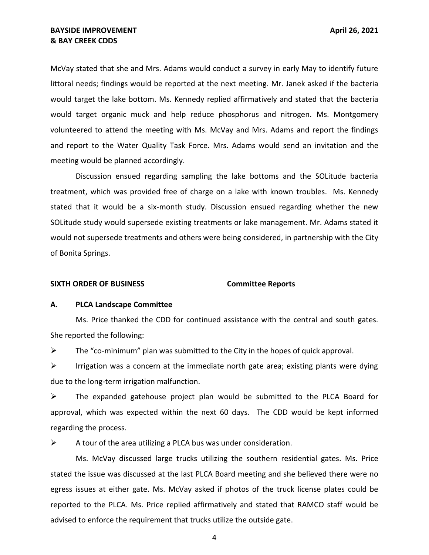McVay stated that she and Mrs. Adams would conduct a survey in early May to identify future littoral needs; findings would be reported at the next meeting. Mr. Janek asked if the bacteria would target the lake bottom. Ms. Kennedy replied affirmatively and stated that the bacteria would target organic muck and help reduce phosphorus and nitrogen. Ms. Montgomery volunteered to attend the meeting with Ms. McVay and Mrs. Adams and report the findings and report to the Water Quality Task Force. Mrs. Adams would send an invitation and the meeting would be planned accordingly.

 Discussion ensued regarding sampling the lake bottoms and the SOLitude bacteria treatment, which was provided free of charge on a lake with known troubles. Ms. Kennedy stated that it would be a six-month study. Discussion ensued regarding whether the new SOLitude study would supersede existing treatments or lake management. Mr. Adams stated it would not supersede treatments and others were being considered, in partnership with the City of Bonita Springs.

### **SIXTH ORDER OF BUSINESS Committee Reports**

### **A. PLCA Landscape Committee**

 Ms. Price thanked the CDD for continued assistance with the central and south gates. She reported the following:

 $\triangleright$  The "co-minimum" plan was submitted to the City in the hopes of quick approval.

 $\triangleright$  Irrigation was a concern at the immediate north gate area; existing plants were dying due to the long-term irrigation malfunction.

 ➢ The expanded gatehouse project plan would be submitted to the PLCA Board for approval, which was expected within the next 60 days. The CDD would be kept informed regarding the process.

 $\triangleright$  A tour of the area utilizing a PLCA bus was under consideration.

 Ms. McVay discussed large trucks utilizing the southern residential gates. Ms. Price stated the issue was discussed at the last PLCA Board meeting and she believed there were no egress issues at either gate. Ms. McVay asked if photos of the truck license plates could be reported to the PLCA. Ms. Price replied affirmatively and stated that RAMCO staff would be advised to enforce the requirement that trucks utilize the outside gate.

4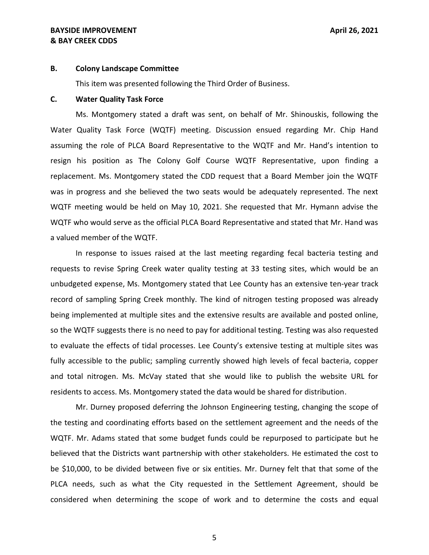## **& BAY CREEK CDDS BAYSIDE IMPROVEMENT April 26, 2021**

### **B. Colony Landscape Committee**

This item was presented following the Third Order of Business.

### **C. Water Quality Task Force**

 Ms. Montgomery stated a draft was sent, on behalf of Mr. Shinouskis, following the Water Quality Task Force (WQTF) meeting. Discussion ensued regarding Mr. Chip Hand resign his position as The Colony Golf Course WQTF Representative, upon finding a replacement. Ms. Montgomery stated the CDD request that a Board Member join the WQTF was in progress and she believed the two seats would be adequately represented. The next WQTF meeting would be held on May 10, 2021. She requested that Mr. Hymann advise the WQTF who would serve as the official PLCA Board Representative and stated that Mr. Hand was a valued member of the WQTF. assuming the role of PLCA Board Representative to the WQTF and Mr. Hand's intention to

 In response to issues raised at the last meeting regarding fecal bacteria testing and requests to revise Spring Creek water quality testing at 33 testing sites, which would be an unbudgeted expense, Ms. Montgomery stated that Lee County has an extensive ten-year track record of sampling Spring Creek monthly. The kind of nitrogen testing proposed was already being implemented at multiple sites and the extensive results are available and posted online, so the WQTF suggests there is no need to pay for additional testing. Testing was also requested fully accessible to the public; sampling currently showed high levels of fecal bacteria, copper and total nitrogen. Ms. McVay stated that she would like to publish the website URL for residents to access. Ms. Montgomery stated the data would be shared for distribution. to evaluate the effects of tidal processes. Lee County's extensive testing at multiple sites was

 Mr. Durney proposed deferring the Johnson Engineering testing, changing the scope of the testing and coordinating efforts based on the settlement agreement and the needs of the WQTF. Mr. Adams stated that some budget funds could be repurposed to participate but he believed that the Districts want partnership with other stakeholders. He estimated the cost to be \$10,000, to be divided between five or six entities. Mr. Durney felt that that some of the PLCA needs, such as what the City requested in the Settlement Agreement, should be considered when determining the scope of work and to determine the costs and equal

5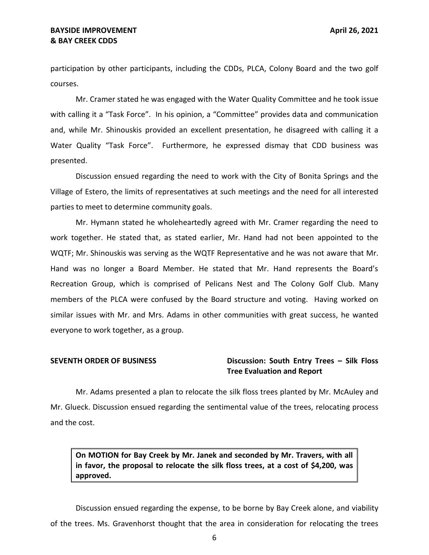participation by other participants, including the CDDs, PLCA, Colony Board and the two golf courses.

 Mr. Cramer stated he was engaged with the Water Quality Committee and he took issue with calling it a "Task Force". In his opinion, a "Committee" provides data and communication and, while Mr. Shinouskis provided an excellent presentation, he disagreed with calling it a Water Quality "Task Force". Furthermore, he expressed dismay that CDD business was presented.

 Discussion ensued regarding the need to work with the City of Bonita Springs and the Village of Estero, the limits of representatives at such meetings and the need for all interested parties to meet to determine community goals.

 Mr. Hymann stated he wholeheartedly agreed with Mr. Cramer regarding the need to work together. He stated that, as stated earlier, Mr. Hand had not been appointed to the WQTF; Mr. Shinouskis was serving as the WQTF Representative and he was not aware that Mr. Hand was no longer a Board Member. He stated that Mr. Hand represents the Board's Recreation Group, which is comprised of Pelicans Nest and The Colony Golf Club. Many members of the PLCA were confused by the Board structure and voting. Having worked on similar issues with Mr. and Mrs. Adams in other communities with great success, he wanted everyone to work together, as a group.

## **SEVENTH ORDER OF BUSINESS** Discussion: South Entry Trees – Silk Floss  **Tree Evaluation and Report**

 Mr. Adams presented a plan to relocate the silk floss trees planted by Mr. McAuley and Mr. Glueck. Discussion ensued regarding the sentimental value of the trees, relocating process and the cost.

 **On MOTION for Bay Creek by Mr. Janek and seconded by Mr. Travers, with all in favor, the proposal to relocate the silk floss trees, at a cost of \$4,200, was approved.** 

 Discussion ensued regarding the expense, to be borne by Bay Creek alone, and viability of the trees. Ms. Gravenhorst thought that the area in consideration for relocating the trees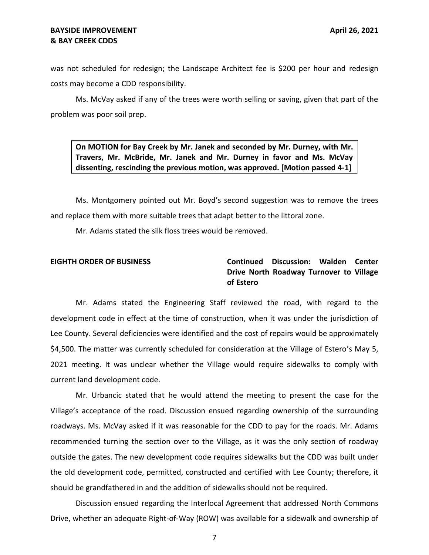was not scheduled for redesign; the Landscape Architect fee is \$200 per hour and redesign costs may become a CDD responsibility.

 Ms. McVay asked if any of the trees were worth selling or saving, given that part of the problem was poor soil prep.

 **On MOTION for Bay Creek by Mr. Janek and seconded by Mr. Durney, with Mr. Travers, Mr. McBride, Mr. Janek and Mr. Durney in favor and Ms. McVay dissenting, rescinding the previous motion, was approved. [Motion passed 4-1]** 

 Ms. Montgomery pointed out Mr. Boyd's second suggestion was to remove the trees and replace them with more suitable trees that adapt better to the littoral zone.

Mr. Adams stated the silk floss trees would be removed.

## **EIGHTH ORDER OF BUSINESS Continued Discussion: Walden Center Drive North Roadway Turnover to Village of Estero**

 Mr. Adams stated the Engineering Staff reviewed the road, with regard to the development code in effect at the time of construction, when it was under the jurisdiction of Lee County. Several deficiencies were identified and the cost of repairs would be approximately \$4,500. The matter was currently scheduled for consideration at the Village of Estero's May 5, 2021 meeting. It was unclear whether the Village would require sidewalks to comply with current land development code.

 Mr. Urbancic stated that he would attend the meeting to present the case for the Village's acceptance of the road. Discussion ensued regarding ownership of the surrounding roadways. Ms. McVay asked if it was reasonable for the CDD to pay for the roads. Mr. Adams recommended turning the section over to the Village, as it was the only section of roadway outside the gates. The new development code requires sidewalks but the CDD was built under the old development code, permitted, constructed and certified with Lee County; therefore, it should be grandfathered in and the addition of sidewalks should not be required.

 Discussion ensued regarding the Interlocal Agreement that addressed North Commons Drive, whether an adequate Right-of-Way (ROW) was available for a sidewalk and ownership of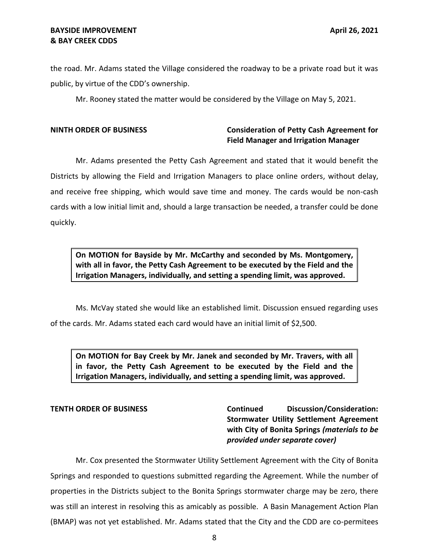the road. Mr. Adams stated the Village considered the roadway to be a private road but it was public, by virtue of the CDD's ownership.

Mr. Rooney stated the matter would be considered by the Village on May 5, 2021.

## **NINTH ORDER OF BUSINESS Consideration of Petty Cash Agreement for Field Manager and Irrigation Manager**

 Mr. Adams presented the Petty Cash Agreement and stated that it would benefit the Districts by allowing the Field and Irrigation Managers to place online orders, without delay, and receive free shipping, which would save time and money. The cards would be non-cash cards with a low initial limit and, should a large transaction be needed, a transfer could be done quickly.

 **On MOTION for Bayside by Mr. McCarthy and seconded by Ms. Montgomery, with all in favor, the Petty Cash Agreement to be executed by the Field and the Irrigation Managers, individually, and setting a spending limit, was approved.** 

 Ms. McVay stated she would like an established limit. Discussion ensued regarding uses of the cards. Mr. Adams stated each card would have an initial limit of \$2,500.

 **On MOTION for Bay Creek by Mr. Janek and seconded by Mr. Travers, with all in favor, the Petty Cash Agreement to be executed by the Field and the Irrigation Managers, individually, and setting a spending limit, was approved.** 

## **TENTH ORDER OF BUSINESS**

 **with City of Bonita Springs** *(materials to be*  **Continued Discussion/Consideration: Stormwater Utility Settlement Agreement**  *provided under separate cover)* 

 Mr. Cox presented the Stormwater Utility Settlement Agreement with the City of Bonita Springs and responded to questions submitted regarding the Agreement. While the number of properties in the Districts subject to the Bonita Springs stormwater charge may be zero, there was still an interest in resolving this as amicably as possible. A Basin Management Action Plan (BMAP) was not yet established. Mr. Adams stated that the City and the CDD are co-permitees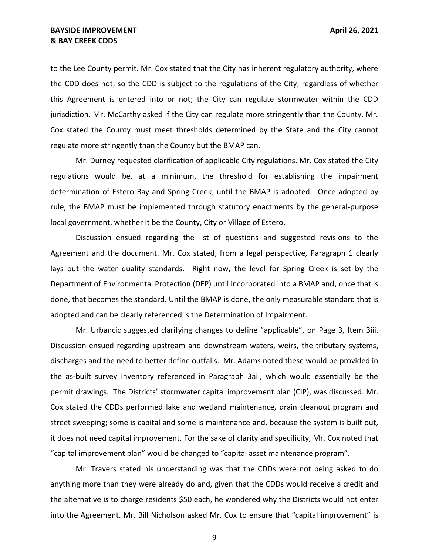to the Lee County permit. Mr. Cox stated that the City has inherent regulatory authority, where the CDD does not, so the CDD is subject to the regulations of the City, regardless of whether this Agreement is entered into or not; the City can regulate stormwater within the CDD jurisdiction. Mr. McCarthy asked if the City can regulate more stringently than the County. Mr. regulate more stringently than the County but the BMAP can. Cox stated the County must meet thresholds determined by the State and the City cannot

 Mr. Durney requested clarification of applicable City regulations. Mr. Cox stated the City regulations would be, at a minimum, the threshold for establishing the impairment determination of Estero Bay and Spring Creek, until the BMAP is adopted. Once adopted by rule, the BMAP must be implemented through statutory enactments by the general-purpose local government, whether it be the County, City or Village of Estero.

 Discussion ensued regarding the list of questions and suggested revisions to the Agreement and the document. Mr. Cox stated, from a legal perspective, Paragraph 1 clearly lays out the water quality standards. Right now, the level for Spring Creek is set by the Department of Environmental Protection (DEP) until incorporated into a BMAP and, once that is done, that becomes the standard. Until the BMAP is done, the only measurable standard that is adopted and can be clearly referenced is the Determination of Impairment.

 Mr. Urbancic suggested clarifying changes to define "applicable", on Page 3, Item 3iii. Discussion ensued regarding upstream and downstream waters, weirs, the tributary systems, discharges and the need to better define outfalls. Mr. Adams noted these would be provided in the as-built survey inventory referenced in Paragraph 3aii, which would essentially be the permit drawings. The Districts' stormwater capital improvement plan (CIP), was discussed. Mr. Cox stated the CDDs performed lake and wetland maintenance, drain cleanout program and street sweeping; some is capital and some is maintenance and, because the system is built out, it does not need capital improvement. For the sake of clarity and specificity, Mr. Cox noted that "capital improvement plan" would be changed to "capital asset maintenance program".

 Mr. Travers stated his understanding was that the CDDs were not being asked to do anything more than they were already do and, given that the CDDs would receive a credit and the alternative is to charge residents \$50 each, he wondered why the Districts would not enter into the Agreement. Mr. Bill Nicholson asked Mr. Cox to ensure that "capital improvement" is

9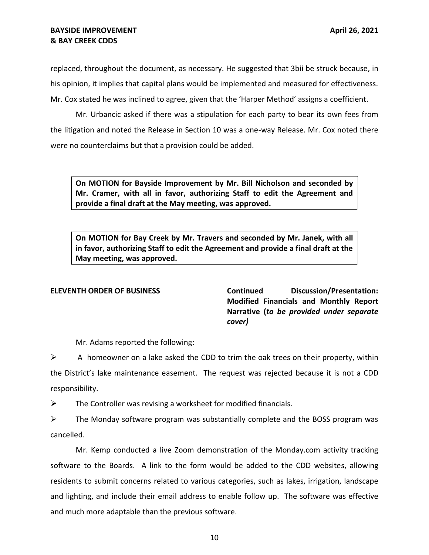## **& BAY CREEK CDDS BAYSIDE IMPROVEMENT April 26, 2021**

 replaced, throughout the document, as necessary. He suggested that 3bii be struck because, in his opinion, it implies that capital plans would be implemented and measured for effectiveness. Mr. Cox stated he was inclined to agree, given that the 'Harper Method' assigns a coefficient.

 Mr. Urbancic asked if there was a stipulation for each party to bear its own fees from the litigation and noted the Release in Section 10 was a one-way Release. Mr. Cox noted there were no counterclaims but that a provision could be added.

 **On MOTION for Bayside Improvement by Mr. Bill Nicholson and seconded by Mr. Cramer, with all in favor, authorizing Staff to edit the Agreement and provide a final draft at the May meeting, was approved.** 

 **On MOTION for Bay Creek by Mr. Travers and seconded by Mr. Janek, with all in favor, authorizing Staff to edit the Agreement and provide a final draft at the May meeting, was approved.** 

 **Modified Financials and Monthly Report**   **Narrative (***to be provided under separate*  **ELEVENTH ORDER OF BUSINESS Continued Discussion/Presentation:**  *cover)* 

Mr. Adams reported the following:

 $\triangleright$  A homeowner on a lake asked the CDD to trim the oak trees on their property, within the District's lake maintenance easement. The request was rejected because it is not a CDD responsibility.

 $\triangleright$  The Controller was revising a worksheet for modified financials.

 $\triangleright$  The Monday software program was substantially complete and the BOSS program was cancelled.

 software to the Boards. A link to the form would be added to the CDD websites, allowing residents to submit concerns related to various categories, such as lakes, irrigation, landscape and lighting, and include their email address to enable follow up. The software was effective and much more adaptable than the previous software. Mr. Kemp conducted a live Zoom demonstration of the [Monday.com](https://Monday.com) activity tracking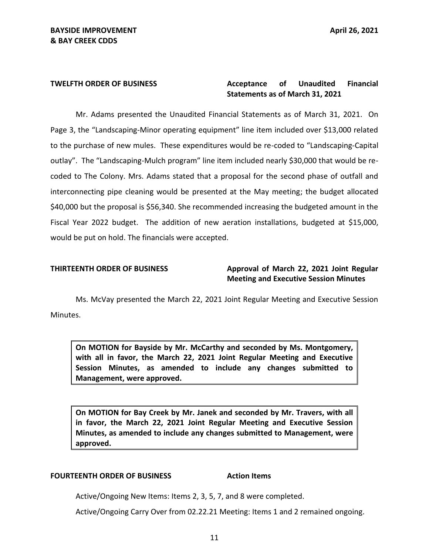### Acceptance of  **Statements as of March 31, 2021 TWELFTH ORDER OF BUSINESS Acceptance of Unaudited Financial**

 Page 3, the "Landscaping-Minor operating equipment" line item included over \$13,000 related to the purchase of new mules. These expenditures would be re-coded to "Landscaping-Capital outlay". The "Landscaping-Mulch program" line item included nearly \$30,000 that would be re- coded to The Colony. Mrs. Adams stated that a proposal for the second phase of outfall and interconnecting pipe cleaning would be presented at the May meeting; the budget allocated \$40,000 but the proposal is \$56,340. She recommended increasing the budgeted amount in the Fiscal Year 2022 budget. The addition of new aeration installations, budgeted at \$15,000, Mr. Adams presented the Unaudited Financial Statements as of March 31, 2021. On would be put on hold. The financials were accepted.

## **THIRTEENTH ORDER OF BUSINESS Approval of March 22, 2021 Joint Regular Meeting and Executive Session Minutes**

 Ms. McVay presented the March 22, 2021 Joint Regular Meeting and Executive Session Minutes.

 **On MOTION for Bayside by Mr. McCarthy and seconded by Ms. Montgomery, with all in favor, the March 22, 2021 Joint Regular Meeting and Executive Session Minutes, as amended to include any changes submitted to Management, were approved.** 

 **On MOTION for Bay Creek by Mr. Janek and seconded by Mr. Travers, with all in favor, the March 22, 2021 Joint Regular Meeting and Executive Session Minutes, as amended to include any changes submitted to Management, were approved.** 

### **FOURTEENTH ORDER OF BUSINESS Action Items**

Active/Ongoing New Items: Items 2, 3, 5, 7, and 8 were completed.

Active/Ongoing Carry Over from [02.22.21](https://02.22.21) Meeting: Items 1 and 2 remained ongoing.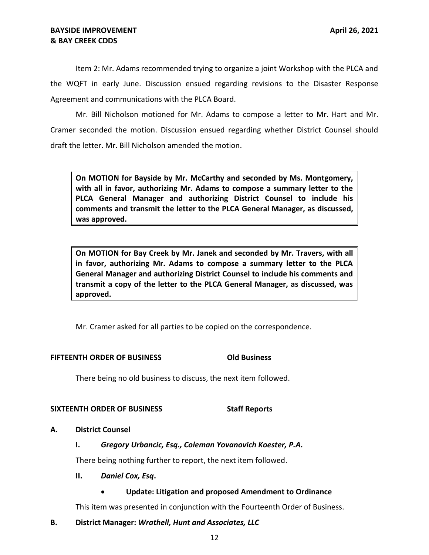## **& BAY CREEK CDDS BAYSIDE IMPROVEMENT April 26, 2021**

 Item 2: Mr. Adams recommended trying to organize a joint Workshop with the PLCA and the WQFT in early June. Discussion ensued regarding revisions to the Disaster Response Agreement and communications with the PLCA Board.

 Mr. Bill Nicholson motioned for Mr. Adams to compose a letter to Mr. Hart and Mr. Cramer seconded the motion. Discussion ensued regarding whether District Counsel should draft the letter. Mr. Bill Nicholson amended the motion.

 **On MOTION for Bayside by Mr. McCarthy and seconded by Ms. Montgomery, with all in favor, authorizing Mr. Adams to compose a summary letter to the PLCA General Manager and authorizing District Counsel to include his comments and transmit the letter to the PLCA General Manager, as discussed, was approved.** 

 **On MOTION for Bay Creek by Mr. Janek and seconded by Mr. Travers, with all in favor, authorizing Mr. Adams to compose a summary letter to the PLCA General Manager and authorizing District Counsel to include his comments and transmit a copy of the letter to the PLCA General Manager, as discussed, was approved.** 

Mr. Cramer asked for all parties to be copied on the correspondence.

## **FIFTEENTH ORDER OF BUSINESS Old Business**

There being no old business to discuss, the next item followed.

## **SIXTEENTH ORDER OF BUSINESS STATE STAFF Reports**

## **A. District Counsel**

## **I.** *Gregory Urbancic, Esq., Coleman Yovanovich Koester, P.A.*

There being nothing further to report, the next item followed.

## **II.** *Daniel Cox, Esq***.**

## • **Update: Litigation and proposed Amendment to Ordinance**

This item was presented in conjunction with the Fourteenth Order of Business.

## **B. District Manager:** *Wrathell, Hunt and Associates, LLC*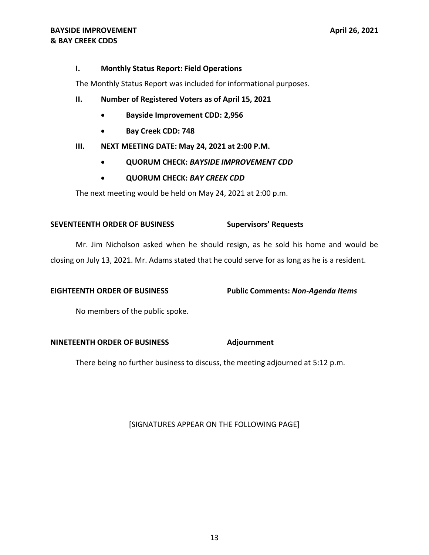## **I. Monthly Status Report: Field Operations**

The Monthly Status Report was included for informational purposes.

- **II. Number of Registered Voters as of April 15, 2021** 
	- ---- **Bayside Improvement CDD: 2,956**
	- **Bay Creek CDD: 748**

## **III. NEXT MEETING DATE: May 24, 2021 at 2:00 P.M.**

- **QUORUM CHECK:** *BAYSIDE IMPROVEMENT CDD*
- **QUORUM CHECK:** *BAY CREEK CDD*

The next meeting would be held on May 24, 2021 at 2:00 p.m.

## **SEVENTEENTH ORDER OF BUSINESS Supervisors' Requests**

 Mr. Jim Nicholson asked when he should resign, as he sold his home and would be closing on July 13, 2021. Mr. Adams stated that he could serve for as long as he is a resident.

## **EIGHTEENTH ORDER OF BUSINESS Public Comments:** *Non-Agenda Items*

No members of the public spoke.

## **NINETEENTH ORDER OF BUSINESS Adjournment**

There being no further business to discuss, the meeting adjourned at 5:12 p.m.

# [SIGNATURES APPEAR ON THE FOLLOWING PAGE]